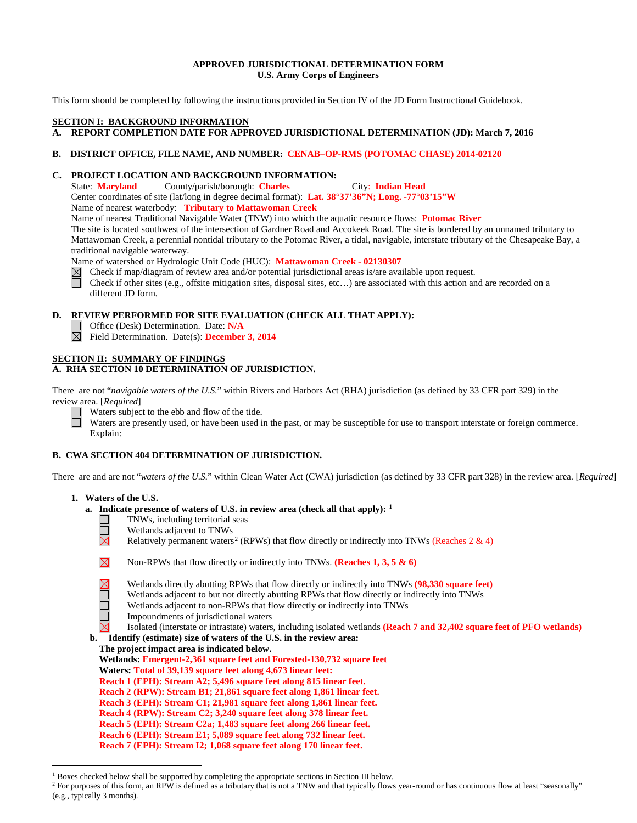#### **APPROVED JURISDICTIONAL DETERMINATION FORM U.S. Army Corps of Engineers**

This form should be completed by following the instructions provided in Section IV of the JD Form Instructional Guidebook.

# **SECTION I: BACKGROUND INFORMATION**

# **A. REPORT COMPLETION DATE FOR APPROVED JURISDICTIONAL DETERMINATION (JD): March 7, 2016**

#### **B. DISTRICT OFFICE, FILE NAME, AND NUMBER: CENAB–OP-RMS (POTOMAC CHASE) 2014-02120**

#### **C. PROJECT LOCATION AND BACKGROUND INFORMATION:**

State: **Maryland** County/parish/borough: **Charles** City: **Indian Head** Center coordinates of site (lat/long in degree decimal format): **Lat. 38°37'36"N; Long. -77°03'15"W** Name of nearest waterbody: **Tributary to Mattawoman Creek**

Name of nearest Traditional Navigable Water (TNW) into which the aquatic resource flows: **Potomac River**

The site is located southwest of the intersection of Gardner Road and Accokeek Road. The site is bordered by an unnamed tributary to Mattawoman Creek, a perennial nontidal tributary to the Potomac River, a tidal, navigable, interstate tributary of the Chesapeake Bay, a traditional navigable waterway.

Name of watershed or Hydrologic Unit Code (HUC): **Mattawoman Creek - 02130307**

 $\boxtimes$  Check if map/diagram of review area and/or potential jurisdictional areas is/are available upon request.

Check if other sites (e.g., offsite mitigation sites, disposal sites, etc…) are associated with this action and are recorded on a different JD form.

# **D. REVIEW PERFORMED FOR SITE EVALUATION (CHECK ALL THAT APPLY):**

- Office (Desk) Determination. Date: **N/A**
- Field Determination. Date(s): **December 3, 2014**

# **SECTION II: SUMMARY OF FINDINGS**

# **A. RHA SECTION 10 DETERMINATION OF JURISDICTION.**

There are not "*navigable waters of the U.S.*" within Rivers and Harbors Act (RHA) jurisdiction (as defined by 33 CFR part 329) in the review area. [*Required*]

Waters subject to the ebb and flow of the tide.

Waters are presently used, or have been used in the past, or may be susceptible for use to transport interstate or foreign commerce. Explain:

# **B. CWA SECTION 404 DETERMINATION OF JURISDICTION.**

There are and are not "*waters of the U.S.*" within Clean Water Act (CWA) jurisdiction (as defined by 33 CFR part 328) in the review area. [*Required*]

## **1. Waters of the U.S.**

- **a. Indicate presence of waters of U.S. in review area (check all that apply): [1](#page-0-0)**
	- TNWs, including territorial seas
	- $\overline{\Xi}$ Wetlands adjacent to TNWs
		- Relatively permanent waters<sup>[2](#page-0-1)</sup> (RPWs) that flow directly or indirectly into TNWs (Reaches 2 & 4)

| $\boxtimes$ | <b>Non-RPWs</b> that flow directly or indirectly into TNWs. ( <b>Reaches 1, 3, 5 &amp; 6</b> ) |  |
|-------------|------------------------------------------------------------------------------------------------|--|
|             |                                                                                                |  |

Wetlands directly abutting RPWs that flow directly or indirectly into TNWs **(98,330 square feet)**

- Ē Wetlands adjacent to but not directly abutting RPWs that flow directly or indirectly into TNWs
	- Wetlands adjacent to non-RPWs that flow directly or indirectly into TNWs
	- Impoundments of jurisdictional waters

Isolated (interstate or intrastate) waters, including isolated wetlands **(Reach 7 and 32,402 square feet of PFO wetlands)**

 **b. Identify (estimate) size of waters of the U.S. in the review area: The project impact area is indicated below. Wetlands: Emergent-2,361 square feet and Forested-130,732 square feet Waters: Total of 39,139 square feet along 4,673 linear feet: Reach 1 (EPH): Stream A2; 5,496 square feet along 815 linear feet. Reach 2 (RPW): Stream B1; 21,861 square feet along 1,861 linear feet.**

- **Reach 3 (EPH): Stream C1; 21,981 square feet along 1,861 linear feet.**
- **Reach 4 (RPW): Stream C2; 3,240 square feet along 378 linear feet.**
- **Reach 5 (EPH): Stream C2a; 1,483 square feet along 266 linear feet.**
- 
- **Reach 6 (EPH): Stream E1; 5,089 square feet along 732 linear feet.**
- **Reach 7 (EPH): Stream I2; 1,068 square feet along 170 linear feet.**

<span id="page-0-0"></span><sup>&</sup>lt;sup>1</sup> Boxes checked below shall be supported by completing the appropriate sections in Section III below.

<span id="page-0-1"></span><sup>&</sup>lt;sup>2</sup> For purposes of this form, an RPW is defined as a tributary that is not a TNW and that typically flows year-round or has continuous flow at least "seasonally" (e.g., typically 3 months).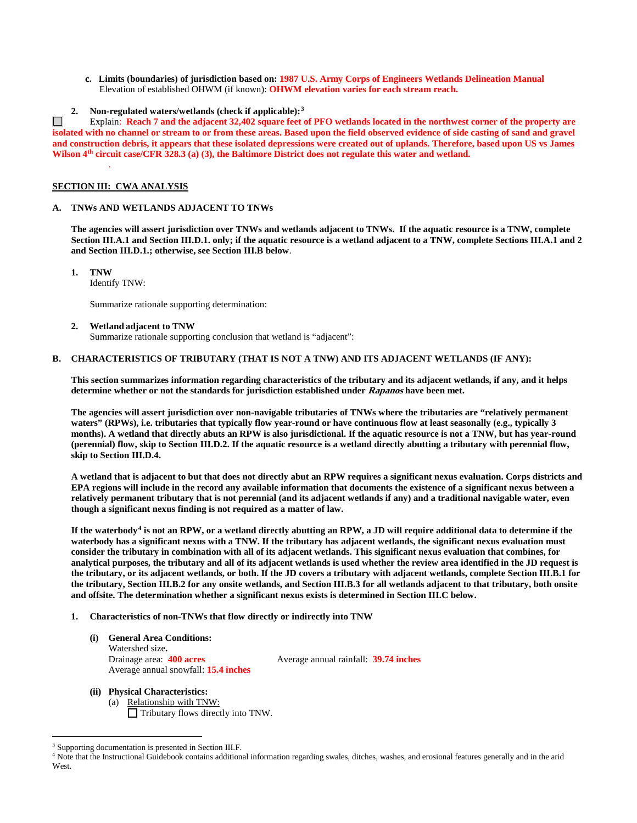- **c. Limits (boundaries) of jurisdiction based on: 1987 U.S. Army Corps of Engineers Wetlands Delineation Manual** Elevation of established OHWM (if known): **OHWM elevation varies for each stream reach.**
- **2. Non-regulated waters/wetlands (check if applicable):[3](#page-1-0)**

 $\Box$ Explain: **Reach 7 and the adjacent 32,402 square feet of PFO wetlands located in the northwest corner of the property are isolated with no channel or stream to or from these areas. Based upon the field observed evidence of side casting of sand and gravel and construction debris, it appears that these isolated depressions were created out of uplands. Therefore, based upon US vs James Wilson 4th circuit case/CFR 328.3 (a) (3), the Baltimore District does not regulate this water and wetland.**

#### **SECTION III: CWA ANALYSIS**

.

#### **A. TNWs AND WETLANDS ADJACENT TO TNWs**

**The agencies will assert jurisdiction over TNWs and wetlands adjacent to TNWs. If the aquatic resource is a TNW, complete Section III.A.1 and Section III.D.1. only; if the aquatic resource is a wetland adjacent to a TNW, complete Sections III.A.1 and 2 and Section III.D.1.; otherwise, see Section III.B below**.

- **1. TNW** 
	- Identify TNW:

Summarize rationale supporting determination:

**2. Wetland adjacent to TNW** 

Summarize rationale supporting conclusion that wetland is "adjacent":

#### **B. CHARACTERISTICS OF TRIBUTARY (THAT IS NOT A TNW) AND ITS ADJACENT WETLANDS (IF ANY):**

**This section summarizes information regarding characteristics of the tributary and its adjacent wetlands, if any, and it helps determine whether or not the standards for jurisdiction established under Rapanos have been met.** 

**The agencies will assert jurisdiction over non-navigable tributaries of TNWs where the tributaries are "relatively permanent waters" (RPWs), i.e. tributaries that typically flow year-round or have continuous flow at least seasonally (e.g., typically 3 months). A wetland that directly abuts an RPW is also jurisdictional. If the aquatic resource is not a TNW, but has year-round (perennial) flow, skip to Section III.D.2. If the aquatic resource is a wetland directly abutting a tributary with perennial flow, skip to Section III.D.4.**

**A wetland that is adjacent to but that does not directly abut an RPW requires a significant nexus evaluation. Corps districts and EPA regions will include in the record any available information that documents the existence of a significant nexus between a relatively permanent tributary that is not perennial (and its adjacent wetlands if any) and a traditional navigable water, even though a significant nexus finding is not required as a matter of law.**

**If the waterbody[4](#page-1-1) is not an RPW, or a wetland directly abutting an RPW, a JD will require additional data to determine if the waterbody has a significant nexus with a TNW. If the tributary has adjacent wetlands, the significant nexus evaluation must consider the tributary in combination with all of its adjacent wetlands. This significant nexus evaluation that combines, for analytical purposes, the tributary and all of its adjacent wetlands is used whether the review area identified in the JD request is the tributary, or its adjacent wetlands, or both. If the JD covers a tributary with adjacent wetlands, complete Section III.B.1 for the tributary, Section III.B.2 for any onsite wetlands, and Section III.B.3 for all wetlands adjacent to that tributary, both onsite and offsite. The determination whether a significant nexus exists is determined in Section III.C below.**

- **1. Characteristics of non-TNWs that flow directly or indirectly into TNW**
	- **(i) General Area Conditions:** Watershed size**.** Drainage area: **400 acres** Average annual rainfall: **39.74 inches** Average annual snowfall: **15.4 inches**

- **(ii) Physical Characteristics:** (a) Relationship with TNW:
	- $\Box$  Tributary flows directly into TNW.

<span id="page-1-0"></span><sup>&</sup>lt;sup>3</sup> Supporting documentation is presented in Section III.F.

<span id="page-1-1"></span><sup>4</sup> Note that the Instructional Guidebook contains additional information regarding swales, ditches, washes, and erosional features generally and in the arid West.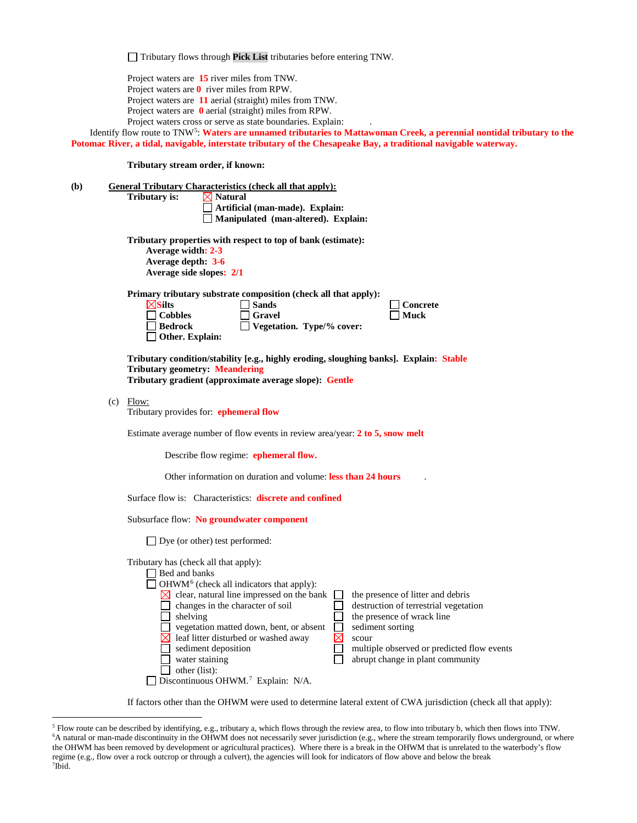Tributary flows through **Pick List** tributaries before entering TNW.

Project waters are **15** river miles from TNW. Project waters are **0** river miles from RPW. Project waters are **11** aerial (straight) miles from TNW. Project waters are **0** aerial (straight) miles from RPW. Project waters cross or serve as state boundaries. Explain:

Identify flow route to TNW[5:](#page-2-0) **Waters are unnamed tributaries to Mattawoman Creek, a perennial nontidal tributary to the Potomac River, a tidal, navigable, interstate tributary of the Chesapeake Bay, a traditional navigable waterway.**

**Tributary stream order, if known:**

**(b) General Tributary Characteristics (check all that apply): Tributary is:**  $\boxtimes$  Natural **Artificial (man-made). Explain: Manipulated (man-altered). Explain: Tributary properties with respect to top of bank (estimate): Average width: 2-3 Average depth: 3-6 Average side slopes: 2/1 Primary tributary substrate composition (check all that apply): Silts Sands Concrete Cobbles Gravel Muck Bedrock Vegetation. Type/% cover: Other. Explain: Tributary condition/stability [e.g., highly eroding, sloughing banks]. Explain: Stable Tributary geometry: Meandering Tributary gradient (approximate average slope): Gentle**  $(c)$  Flow: Tributary provides for: **ephemeral flow** Estimate average number of flow events in review area/year: **2 to 5, snow melt** Describe flow regime: **ephemeral flow.** Other information on duration and volume: **less than 24 hours** . Surface flow is: Characteristics: **discrete and confined** Subsurface flow: **No groundwater component** □ Dye (or other) test performed: Tributary has (check all that apply):  $\Box$  Bed and banks  $\Box$  OHWM<sup>[6](#page-2-1)</sup> (check all indicators that apply):  $\boxtimes$  clear, natural line impressed on the bank  $\Box$  the presence of litter and debris changes in the character of soil  $\Box$  destruction of terrestrial vegetation  $\Box$  shelving the presence of wrack line vegetation matted down, bent, or absent <br>
<br>
Sediment sorting<br>
Sediment deposition<br>
Sediment deposition<br>
Sediment deposition  $\boxtimes$  leaf litter disturbed or washed away  $\boxtimes$  scour  $\Box$  sediment deposition  $\Box$  multiple observed or predicted flow events<br> $\Box$  water staining □ water staining abrupt change in plant community  $\Box$  other (list):  $\Box$  Discontinuous OHWM.<sup>7</sup> Explain: N/A.

If factors other than the OHWM were used to determine lateral extent of CWA jurisdiction (check all that apply):

<span id="page-2-2"></span><span id="page-2-1"></span><span id="page-2-0"></span> <sup>5</sup> Flow route can be described by identifying, e.g., tributary a, which flows through the review area, to flow into tributary b, which then flows into TNW. 6 A natural or man-made discontinuity in the OHWM does not necessarily sever jurisdiction (e.g., where the stream temporarily flows underground, or where the OHWM has been removed by development or agricultural practices). Where there is a break in the OHWM that is unrelated to the waterbody's flow regime (e.g., flow over a rock outcrop or through a culvert), the agencies will look for indicators of flow above and below the break 7 Ibid.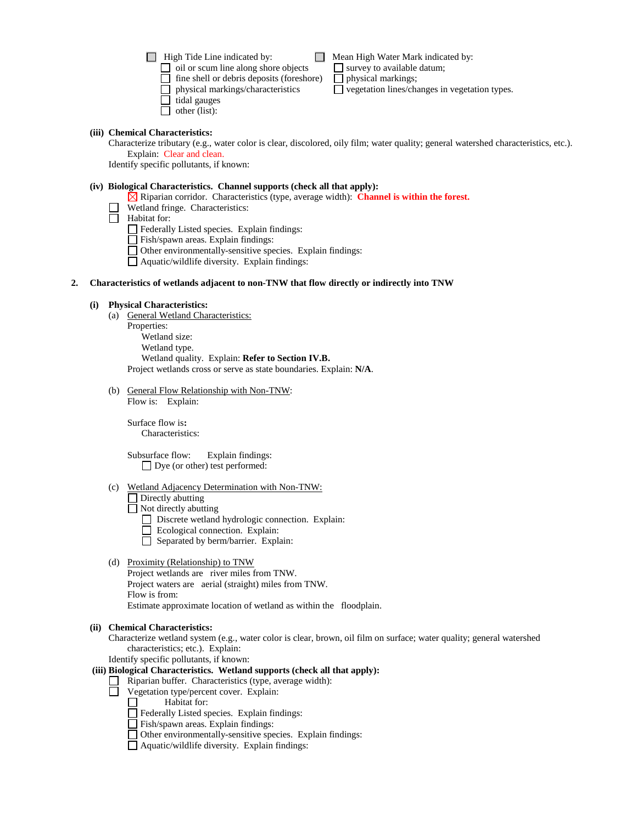$\Box$  High Tide Line indicated by:  $\Box$  Mean High Water Mark indicated by:

oil or scum line along shore objects survey to available datum;<br>  $\Box$  fine shell or debris deposits (foreshore)  $\Box$  physical markings;

- physical markings/characteristics  $\Box$  vegetation lines/changes in vegetation types.
- $\Box$  tidal gauges  $\Box$  other (list):
- 

# **(iii) Chemical Characteristics:**

Characterize tributary (e.g., water color is clear, discolored, oily film; water quality; general watershed characteristics, etc.). Explain: Clear and clean.

Identify specific pollutants, if known:

## **(iv) Biological Characteristics. Channel supports (check all that apply):**

 $\Box$  fine shell or debris deposits (foreshore)

Riparian corridor. Characteristics (type, average width): **Channel is within the forest.**

Wetland fringe. Characteristics:

 $\Box$  Habitat for:

Federally Listed species. Explain findings:

Fish/spawn areas. Explain findings:

Other environmentally-sensitive species. Explain findings:

Aquatic/wildlife diversity. Explain findings:

# **2. Characteristics of wetlands adjacent to non-TNW that flow directly or indirectly into TNW**

# **(i) Physical Characteristics:**

(a) General Wetland Characteristics:

Properties: Wetland size: Wetland type. Wetland quality. Explain: **Refer to Section IV.B.** Project wetlands cross or serve as state boundaries. Explain: **N/A**.

(b) General Flow Relationship with Non-TNW: Flow is: Explain:

Surface flow is**:** 

Characteristics:

Subsurface flow:Explain findings: Dye (or other) test performed:

(c) Wetland Adjacency Determination with Non-TNW:

Directly abutting

Not directly abutting

Discrete wetland hydrologic connection. Explain:

- Ecological connection. Explain:
- $\Box$  Separated by berm/barrier. Explain:
- (d) Proximity (Relationship) to TNW

Project wetlands are river miles from TNW. Project waters are aerial (straight) miles from TNW. Flow is from:

Estimate approximate location of wetland as within the floodplain.

# **(ii) Chemical Characteristics:**

Characterize wetland system (e.g., water color is clear, brown, oil film on surface; water quality; general watershed characteristics; etc.). Explain:

Identify specific pollutants, if known:

# **(iii) Biological Characteristics. Wetland supports (check all that apply):**

- Riparian buffer. Characteristics (type, average width):
- $\Box$  Vegetation type/percent cover. Explain:<br> $\Box$  Habitat for:

Habitat for:

- Federally Listed species. Explain findings:
- Fish/spawn areas. Explain findings:
- Other environmentally-sensitive species. Explain findings:
- Aquatic/wildlife diversity. Explain findings: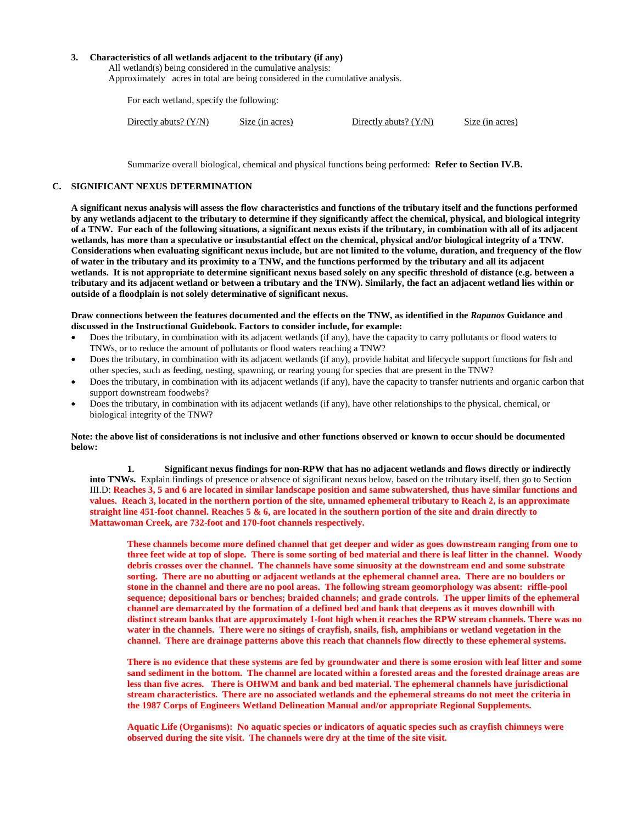## **3. Characteristics of all wetlands adjacent to the tributary (if any)**

All wetland(s) being considered in the cumulative analysis: Approximately acres in total are being considered in the cumulative analysis.

For each wetland, specify the following:

| Directly abuts? $(Y/N)$<br>Directly abuts? $(Y/N)$<br>Size (in acres) | Size (in acres) |
|-----------------------------------------------------------------------|-----------------|
|-----------------------------------------------------------------------|-----------------|

Summarize overall biological, chemical and physical functions being performed: **Refer to Section IV.B.**

#### **C. SIGNIFICANT NEXUS DETERMINATION**

**A significant nexus analysis will assess the flow characteristics and functions of the tributary itself and the functions performed by any wetlands adjacent to the tributary to determine if they significantly affect the chemical, physical, and biological integrity of a TNW. For each of the following situations, a significant nexus exists if the tributary, in combination with all of its adjacent wetlands, has more than a speculative or insubstantial effect on the chemical, physical and/or biological integrity of a TNW. Considerations when evaluating significant nexus include, but are not limited to the volume, duration, and frequency of the flow of water in the tributary and its proximity to a TNW, and the functions performed by the tributary and all its adjacent wetlands. It is not appropriate to determine significant nexus based solely on any specific threshold of distance (e.g. between a tributary and its adjacent wetland or between a tributary and the TNW). Similarly, the fact an adjacent wetland lies within or outside of a floodplain is not solely determinative of significant nexus.** 

**Draw connections between the features documented and the effects on the TNW, as identified in the** *Rapanos* **Guidance and discussed in the Instructional Guidebook. Factors to consider include, for example:**

- Does the tributary, in combination with its adjacent wetlands (if any), have the capacity to carry pollutants or flood waters to TNWs, or to reduce the amount of pollutants or flood waters reaching a TNW?
- Does the tributary, in combination with its adjacent wetlands (if any), provide habitat and lifecycle support functions for fish and other species, such as feeding, nesting, spawning, or rearing young for species that are present in the TNW?
- Does the tributary, in combination with its adjacent wetlands (if any), have the capacity to transfer nutrients and organic carbon that support downstream foodwebs?
- Does the tributary, in combination with its adjacent wetlands (if any), have other relationships to the physical, chemical, or biological integrity of the TNW?

#### **Note: the above list of considerations is not inclusive and other functions observed or known to occur should be documented below:**

**1. Significant nexus findings for non-RPW that has no adjacent wetlands and flows directly or indirectly into TNWs.** Explain findings of presence or absence of significant nexus below, based on the tributary itself, then go to Section III.D: **Reaches 3, 5 and 6 are located in similar landscape position and same subwatershed, thus have similar functions and values. Reach 3, located in the northern portion of the site, unnamed ephemeral tributary to Reach 2, is an approximate straight line 451-foot channel. Reaches 5 & 6, are located in the southern portion of the site and drain directly to Mattawoman Creek, are 732-foot and 170-foot channels respectively.** 

**These channels become more defined channel that get deeper and wider as goes downstream ranging from one to three feet wide at top of slope. There is some sorting of bed material and there is leaf litter in the channel. Woody debris crosses over the channel. The channels have some sinuosity at the downstream end and some substrate sorting. There are no abutting or adjacent wetlands at the ephemeral channel area. There are no boulders or stone in the channel and there are no pool areas. The following stream geomorphology was absent: riffle-pool sequence; depositional bars or benches; braided channels; and grade controls. The upper limits of the ephemeral channel are demarcated by the formation of a defined bed and bank that deepens as it moves downhill with distinct stream banks that are approximately 1-foot high when it reaches the RPW stream channels. There was no water in the channels. There were no sitings of crayfish, snails, fish, amphibians or wetland vegetation in the channel. There are drainage patterns above this reach that channels flow directly to these ephemeral systems.**

**There is no evidence that these systems are fed by groundwater and there is some erosion with leaf litter and some sand sediment in the bottom. The channel are located within a forested areas and the forested drainage areas are less than five acres. There is OHWM and bank and bed material. The ephemeral channels have jurisdictional stream characteristics. There are no associated wetlands and the ephemeral streams do not meet the criteria in the 1987 Corps of Engineers Wetland Delineation Manual and/or appropriate Regional Supplements.**

**Aquatic Life (Organisms): No aquatic species or indicators of aquatic species such as crayfish chimneys were observed during the site visit. The channels were dry at the time of the site visit.**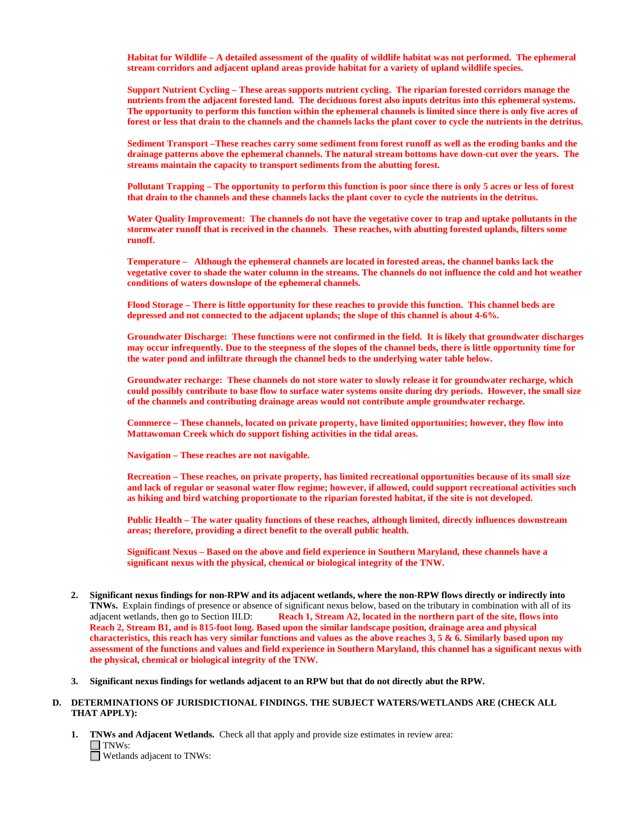**Habitat for Wildlife – A detailed assessment of the quality of wildlife habitat was not performed. The ephemeral stream corridors and adjacent upland areas provide habitat for a variety of upland wildlife species.** 

**Support Nutrient Cycling – These areas supports nutrient cycling. The riparian forested corridors manage the nutrients from the adjacent forested land. The deciduous forest also inputs detritus into this ephemeral systems. The opportunity to perform this function within the ephemeral channels is limited since there is only five acres of forest or less that drain to the channels and the channels lacks the plant cover to cycle the nutrients in the detritus.** 

**Sediment Transport –These reaches carry some sediment from forest runoff as well as the eroding banks and the drainage patterns above the ephemeral channels. The natural stream bottoms have down-cut over the years. The streams maintain the capacity to transport sediments from the abutting forest.** 

**Pollutant Trapping – The opportunity to perform this function is poor since there is only 5 acres or less of forest that drain to the channels and these channels lacks the plant cover to cycle the nutrients in the detritus.** 

**Water Quality Improvement: The channels do not have the vegetative cover to trap and uptake pollutants in the stormwater runoff that is received in the channels**. **These reaches, with abutting forested uplands, filters some runoff.**

**Temperature – Although the ephemeral channels are located in forested areas, the channel banks lack the vegetative cover to shade the water column in the streams. The channels do not influence the cold and hot weather conditions of waters downslope of the ephemeral channels.**

**Flood Storage – There is little opportunity for these reaches to provide this function. This channel beds are depressed and not connected to the adjacent uplands; the slope of this channel is about 4-6%.** 

**Groundwater Discharge: These functions were not confirmed in the field. It is likely that groundwater discharges may occur infrequently. Due to the steepness of the slopes of the channel beds, there is little opportunity time for the water pond and infiltrate through the channel beds to the underlying water table below.** 

**Groundwater recharge: These channels do not store water to slowly release it for groundwater recharge, which could possibly contribute to base flow to surface water systems onsite during dry periods. However, the small size of the channels and contributing drainage areas would not contribute ample groundwater recharge.** 

**Commerce – These channels, located on private property, have limited opportunities; however, they flow into Mattawoman Creek which do support fishing activities in the tidal areas.** 

**Navigation – These reaches are not navigable.**

**Recreation – These reaches, on private property, has limited recreational opportunities because of its small size and lack of regular or seasonal water flow regime; however, if allowed, could support recreational activities such as hiking and bird watching proportionate to the riparian forested habitat, if the site is not developed.** 

**Public Health – The water quality functions of these reaches, although limited, directly influences downstream areas; therefore, providing a direct benefit to the overall public health.**

**Significant Nexus – Based on the above and field experience in Southern Maryland, these channels have a significant nexus with the physical, chemical or biological integrity of the TNW.**

- **2. Significant nexus findings for non-RPW and its adjacent wetlands, where the non-RPW flows directly or indirectly into TNWs.** Explain findings of presence or absence of significant nexus below, based on the tributary in combination with all of its adjacent wetlands, then go to Section III.D: **Reach 1, Stream A2, located in the northern part of the site, flows into Reach 2, Stream B1, and is 815-foot long. Based upon the similar landscape position, drainage area and physical characteristics, this reach has very similar functions and values as the above reaches 3, 5 & 6. Similarly based upon my assessment of the functions and values and field experience in Southern Maryland, this channel has a significant nexus with the physical, chemical or biological integrity of the TNW.**
- **3. Significant nexus findings for wetlands adjacent to an RPW but that do not directly abut the RPW.**

#### **D. DETERMINATIONS OF JURISDICTIONAL FINDINGS. THE SUBJECT WATERS/WETLANDS ARE (CHECK ALL THAT APPLY):**

**1. TNWs and Adjacent Wetlands.** Check all that apply and provide size estimates in review area:  $\Box$  TNWs: Wetlands adjacent to TNWs: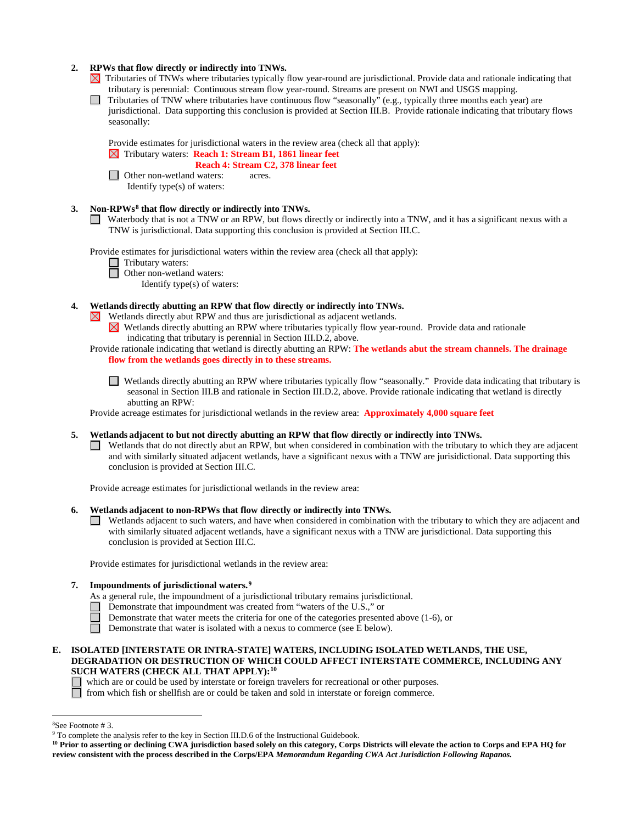## **2. RPWs that flow directly or indirectly into TNWs.**

- $\boxtimes$  Tributaries of TNWs where tributaries typically flow year-round are jurisdictional. Provide data and rationale indicating that tributary is perennial: Continuous stream flow year-round. Streams are present on NWI and USGS mapping.
- Tributaries of TNW where tributaries have continuous flow "seasonally" (e.g., typically three months each year) are  $\Box$ jurisdictional. Data supporting this conclusion is provided at Section III.B. Provide rationale indicating that tributary flows seasonally:

Provide estimates for jurisdictional waters in the review area (check all that apply):

# Tributary waters: **Reach 1: Stream B1, 1861 linear feet**

 **Reach 4: Stream C2, 378 linear feet** □ Other non-wetland waters: acres.

Identify type(s) of waters:

# **3. Non-RPWs[8](#page-6-0) that flow directly or indirectly into TNWs.**

Waterbody that is not a TNW or an RPW, but flows directly or indirectly into a TNW, and it has a significant nexus with a TNW is jurisdictional. Data supporting this conclusion is provided at Section III.C.

Provide estimates for jurisdictional waters within the review area (check all that apply):

- □ Tributary waters:
- **<u></u>** Other non-wetland waters:

Identify type(s) of waters:

- **4. Wetlands directly abutting an RPW that flow directly or indirectly into TNWs.** 
	- $\boxtimes$  Wetlands directly abut RPW and thus are jurisdictional as adjacent wetlands.
		- $\boxtimes$ Wetlands directly abutting an RPW where tributaries typically flow year-round. Provide data and rationale indicating that tributary is perennial in Section III.D.2, above.
	- Provide rationale indicating that wetland is directly abutting an RPW: **The wetlands abut the stream channels. The drainage flow from the wetlands goes directly in to these streams.** 
		- Wetlands directly abutting an RPW where tributaries typically flow "seasonally." Provide data indicating that tributary is seasonal in Section III.B and rationale in Section III.D.2, above. Provide rationale indicating that wetland is directly abutting an RPW:

Provide acreage estimates for jurisdictional wetlands in the review area: **Approximately 4,000 square feet**

# **5. Wetlands adjacent to but not directly abutting an RPW that flow directly or indirectly into TNWs.**

Wetlands that do not directly abut an RPW, but when considered in combination with the tributary to which they are adjacent and with similarly situated adjacent wetlands, have a significant nexus with a TNW are jurisidictional. Data supporting this conclusion is provided at Section III.C.

Provide acreage estimates for jurisdictional wetlands in the review area:

# **6. Wetlands adjacent to non-RPWs that flow directly or indirectly into TNWs.**

Wetlands adjacent to such waters, and have when considered in combination with the tributary to which they are adjacent and with similarly situated adjacent wetlands, have a significant nexus with a TNW are jurisdictional. Data supporting this conclusion is provided at Section III.C.

Provide estimates for jurisdictional wetlands in the review area:

# **7. Impoundments of jurisdictional waters.[9](#page-6-1)**

- As a general rule, the impoundment of a jurisdictional tributary remains jurisdictional.
- Demonstrate that impoundment was created from "waters of the U.S.," or
	- Demonstrate that water meets the criteria for one of the categories presented above (1-6), or
- Demonstrate that water is isolated with a nexus to commerce (see E below).
- **E. ISOLATED [INTERSTATE OR INTRA-STATE] WATERS, INCLUDING ISOLATED WETLANDS, THE USE, DEGRADATION OR DESTRUCTION OF WHICH COULD AFFECT INTERSTATE COMMERCE, INCLUDING ANY SUCH WATERS (CHECK ALL THAT APPLY):[10](#page-6-2)**

which are or could be used by interstate or foreign travelers for recreational or other purposes.

from which fish or shellfish are or could be taken and sold in interstate or foreign commerce.

 $\frac{1}{8}$ 

<span id="page-6-1"></span><span id="page-6-0"></span><sup>&</sup>lt;sup>8</sup>See Footnote # 3. 9  $\degree$  3. 9 To complete the analysis refer to the key in Section III.D.6 of the Instructional Guidebook.

<span id="page-6-2"></span>**<sup>10</sup> Prior to asserting or declining CWA jurisdiction based solely on this category, Corps Districts will elevate the action to Corps and EPA HQ for review consistent with the process described in the Corps/EPA** *Memorandum Regarding CWA Act Jurisdiction Following Rapanos.*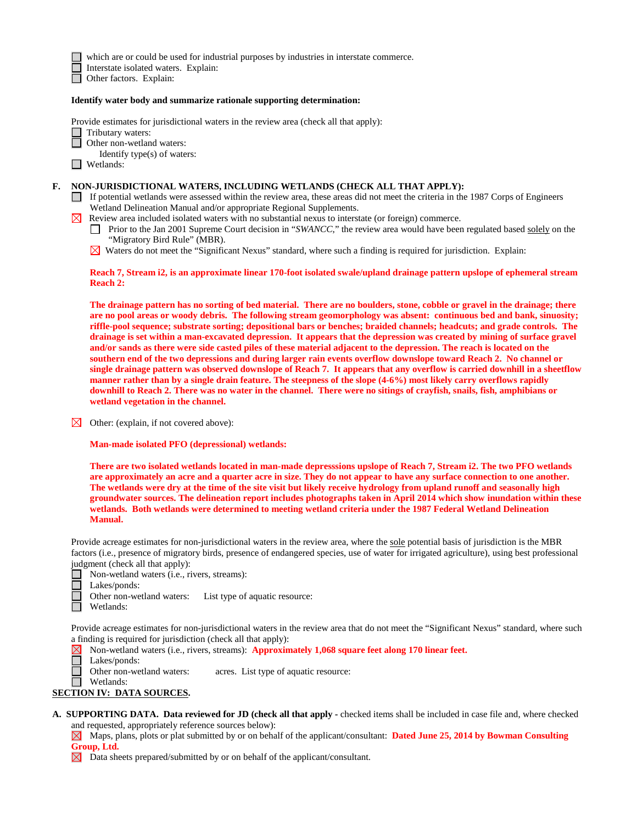which are or could be used for industrial purposes by industries in interstate commerce.

Interstate isolated waters.Explain:

Other factors.Explain:

#### **Identify water body and summarize rationale supporting determination:**

Provide estimates for jurisdictional waters in the review area (check all that apply):

Tributary waters:

- Other non-wetland waters:
- Identify type(s) of waters:

■ Wetlands:

#### **F. NON-JURISDICTIONAL WATERS, INCLUDING WETLANDS (CHECK ALL THAT APPLY):**

- If potential wetlands were assessed within the review area, these areas did not meet the criteria in the 1987 Corps of Engineers Wetland Delineation Manual and/or appropriate Regional Supplements.
- $\boxtimes$  Review area included isolated waters with no substantial nexus to interstate (or foreign) commerce.
	- Prior to the Jan 2001 Supreme Court decision in "*SWANCC*," the review area would have been regulated based solely on the "Migratory Bird Rule" (MBR).
	- $\boxtimes$  Waters do not meet the "Significant Nexus" standard, where such a finding is required for jurisdiction. Explain:

#### **Reach 7, Stream i2, is an approximate linear 170-foot isolated swale/upland drainage pattern upslope of ephemeral stream Reach 2:**

**The drainage pattern has no sorting of bed material. There are no boulders, stone, cobble or gravel in the drainage; there are no pool areas or woody debris. The following stream geomorphology was absent: continuous bed and bank, sinuosity; riffle-pool sequence; substrate sorting; depositional bars or benches; braided channels; headcuts; and grade controls. The drainage is set within a man-excavated depression. It appears that the depression was created by mining of surface gravel**  and/or sands as there were side casted piles of these material adjacent to the depression. The reach is located on the **southern end of the two depressions and during larger rain events overflow downslope toward Reach 2. No channel or single drainage pattern was observed downslope of Reach 7. It appears that any overflow is carried downhill in a sheetflow manner rather than by a single drain feature. The steepness of the slope (4-6%) most likely carry overflows rapidly downhill to Reach 2. There was no water in the channel. There were no sitings of crayfish, snails, fish, amphibians or wetland vegetation in the channel.**

Other: (explain, if not covered above):

#### **Man-made isolated PFO (depressional) wetlands:**

**There are two isolated wetlands located in man-made depresssions upslope of Reach 7, Stream i2. The two PFO wetlands are approximately an acre and a quarter acre in size. They do not appear to have any surface connection to one another. The wetlands were dry at the time of the site visit but likely receive hydrology from upland runoff and seasonally high groundwater sources. The delineation report includes photographs taken in April 2014 which show inundation within these wetlands. Both wetlands were determined to meeting wetland criteria under the 1987 Federal Wetland Delineation Manual.** 

Provide acreage estimates for non-jurisdictional waters in the review area, where the sole potential basis of jurisdiction is the MBR factors (i.e., presence of migratory birds, presence of endangered species, use of water for irrigated agriculture), using best professional judgment (check all that apply):

- Non-wetland waters (i.e., rivers, streams):
- Lakes/ponds:
- Other non-wetland waters: List type of aquatic resource:
- Wetlands:

Provide acreage estimates for non-jurisdictional waters in the review area that do not meet the "Significant Nexus" standard, where such a finding is required for jurisdiction (check all that apply):

Non-wetland waters (i.e., rivers, streams): **Approximately 1,068 square feet along 170 linear feet.** ⊠

- П Lakes/ponds:
	- Other non-wetland waters: acres. List type of aquatic resource:
- Wetlands:

# **SECTION IV: DATA SOURCES.**

**A. SUPPORTING DATA. Data reviewed for JD (check all that apply -** checked items shall be included in case file and, where checked and requested, appropriately reference sources below):

Maps, plans, plots or plat submitted by or on behalf of the applicant/consultant: **Dated June 25, 2014 by Bowman Consulting Group, Ltd.** 

 $\boxtimes$  Data sheets prepared/submitted by or on behalf of the applicant/consultant.